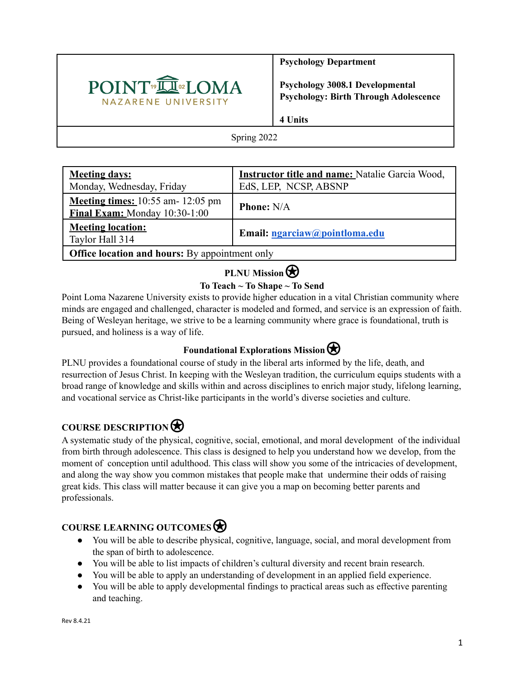

**Psychology Department**

**Psychology 3008.1 Developmental Psychology: Birth Through Adolescence**

**4 Units**

Spring 2022

| <b>Meeting days:</b>                                                          | <b>Instructor title and name: Natalie Garcia Wood,</b> |  |  |  |
|-------------------------------------------------------------------------------|--------------------------------------------------------|--|--|--|
| Monday, Wednesday, Friday                                                     | EdS, LEP, NCSP, ABSNP                                  |  |  |  |
| <b>Meeting times:</b> $10:55$ am- $12:05$ pm<br>Final Exam: Monday 10:30-1:00 | <b>Phone: N/A</b>                                      |  |  |  |
| <b>Meeting location:</b><br>Taylor Hall 314                                   | Email: ngarciaw@pointloma.edu                          |  |  |  |
| <b>Office location and hours:</b> By appointment only                         |                                                        |  |  |  |

# **PLNU** Mission

## **To Teach ~ To Shape ~ To Send**

Point Loma Nazarene University exists to provide higher education in a vital Christian community where minds are engaged and challenged, character is modeled and formed, and service is an expression of faith. Being of Wesleyan heritage, we strive to be a learning community where grace is foundational, truth is pursued, and holiness is a way of life.

## **Foundational Explorations Mission**

PLNU provides a foundational course of study in the liberal arts informed by the life, death, and resurrection of Jesus Christ. In keeping with the Wesleyan tradition, the curriculum equips students with a broad range of knowledge and skills within and across disciplines to enrich major study, lifelong learning, and vocational service as Christ-like participants in the world's diverse societies and culture.

## **COURSE DESCRIPTION**⍟

A systematic study of the physical, cognitive, social, emotional, and moral development of the individual from birth through adolescence. This class is designed to help you understand how we develop, from the moment of conception until adulthood. This class will show you some of the intricacies of development, and along the way show you common mistakes that people make that undermine their odds of raising great kids. This class will matter because it can give you a map on becoming better parents and professionals.

## **COURSE LEARNING OUTCOMES**⍟

- You will be able to describe physical, cognitive, language, social, and moral development from the span of birth to adolescence.
- You will be able to list impacts of children's cultural diversity and recent brain research.
- You will be able to apply an understanding of development in an applied field experience.
- You will be able to apply developmental findings to practical areas such as effective parenting and teaching.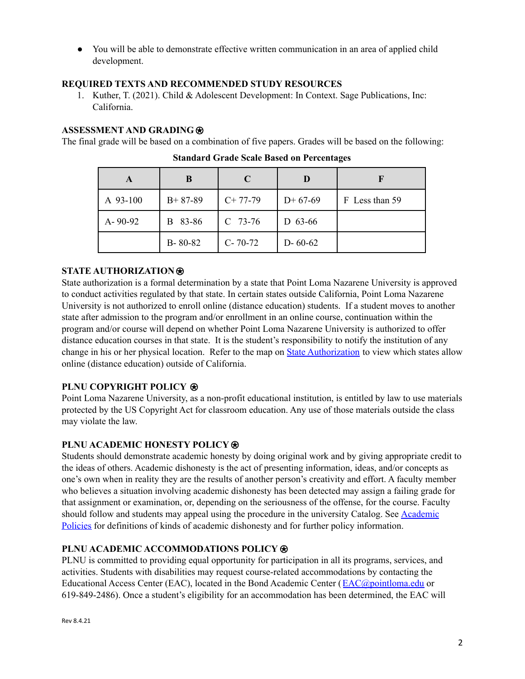● You will be able to demonstrate effective written communication in an area of applied child development.

## **REQUIRED TEXTS AND RECOMMENDED STUDY RESOURCES**

1. Kuther, T. (2021). Child & Adolescent Development: In Context. Sage Publications, Inc: California.

## **ASSESSMENT AND GRADING**⍟

The final grade will be based on a combination of five papers. Grades will be based on the following:

| A             | B             | C             |               |                |
|---------------|---------------|---------------|---------------|----------------|
| A 93-100      | $B+87-89$     | $C+77-79$     | $D+67-69$     | F Less than 59 |
| $A - 90 - 92$ | 83-86<br>B    | $C$ 73-76     | D 63-66       |                |
|               | $B - 80 - 82$ | $C - 70 - 72$ | $D - 60 - 62$ |                |

**Standard Grade Scale Based on Percentages**

## **STATE AUTHORIZATION**⍟

State authorization is a formal determination by a state that Point Loma Nazarene University is approved to conduct activities regulated by that state. In certain states outside California, Point Loma Nazarene University is not authorized to enroll online (distance education) students. If a student moves to another state after admission to the program and/or enrollment in an online course, continuation within the program and/or course will depend on whether Point Loma Nazarene University is authorized to offer distance education courses in that state. It is the student's responsibility to notify the institution of any change in his or her physical location. Refer to the map on State [Authorization](https://www.pointloma.edu/offices/office-institutional-effectiveness-research/disclosures) to view which states allow online (distance education) outside of California.

## **PLNU COPYRIGHT POLICY** ⍟

Point Loma Nazarene University, as a non-profit educational institution, is entitled by law to use materials protected by the US Copyright Act for classroom education. Any use of those materials outside the class may violate the law.

## **PLNU ACADEMIC HONESTY POLICY**⍟

Students should demonstrate academic honesty by doing original work and by giving appropriate credit to the ideas of others. Academic dishonesty is the act of presenting information, ideas, and/or concepts as one's own when in reality they are the results of another person's creativity and effort. A faculty member who believes a situation involving academic dishonesty has been detected may assign a failing grade for that assignment or examination, or, depending on the seriousness of the offense, for the course. Faculty should follow and students may appeal using the procedure in the university Catalog. See [Academic](https://catalog.pointloma.edu/content.php?catoid=52&navoid=2919#Academic_Honesty) [Policies](https://catalog.pointloma.edu/content.php?catoid=52&navoid=2919#Academic_Honesty) for definitions of kinds of academic dishonesty and for further policy information.

## **PLNU ACADEMIC ACCOMMODATIONS POLICY**⍟

PLNU is committed to providing equal opportunity for participation in all its programs, services, and activities. Students with disabilities may request course-related accommodations by contacting the Educational Access Center (EAC), located in the Bond Academic Center ([EAC@pointloma.edu](mailto:EAC@pointloma.edu) or 619-849-2486). Once a student's eligibility for an accommodation has been determined, the EAC will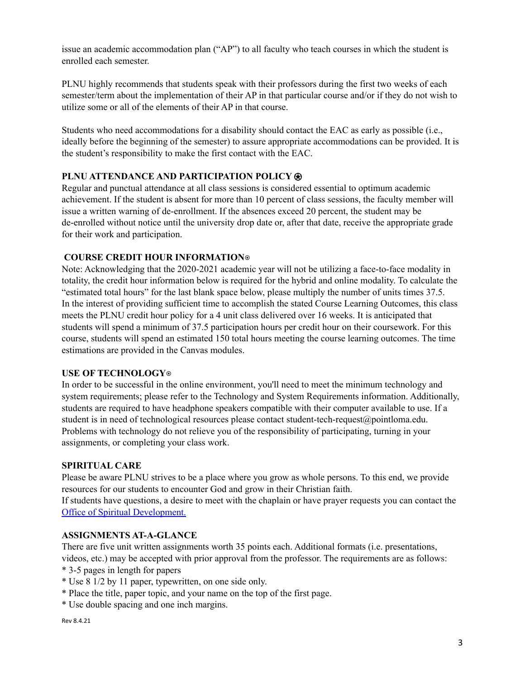issue an academic accommodation plan ("AP") to all faculty who teach courses in which the student is enrolled each semester.

PLNU highly recommends that students speak with their professors during the first two weeks of each semester/term about the implementation of their AP in that particular course and/or if they do not wish to utilize some or all of the elements of their AP in that course.

Students who need accommodations for a disability should contact the EAC as early as possible (i.e., ideally before the beginning of the semester) to assure appropriate accommodations can be provided. It is the student's responsibility to make the first contact with the EAC.

## **PLNU ATTENDANCE AND PARTICIPATION POLICY**⍟

Regular and punctual attendance at all class sessions is considered essential to optimum academic achievement. If the student is absent for more than 10 percent of class sessions, the faculty member will issue a written warning of de-enrollment. If the absences exceed 20 percent, the student may be de-enrolled without notice until the university drop date or, after that date, receive the appropriate grade for their work and participation.

### **COURSE CREDIT HOUR INFORMATION**⍟

Note: Acknowledging that the 2020-2021 academic year will not be utilizing a face-to-face modality in totality, the credit hour information below is required for the hybrid and online modality. To calculate the "estimated total hours" for the last blank space below, please multiply the number of units times 37.5. In the interest of providing sufficient time to accomplish the stated Course Learning Outcomes, this class meets the PLNU credit hour policy for a 4 unit class delivered over 16 weeks. It is anticipated that students will spend a minimum of 37.5 participation hours per credit hour on their coursework. For this course, students will spend an estimated 150 total hours meeting the course learning outcomes. The time estimations are provided in the Canvas modules.

### **USE OF TECHNOLOGY**⍟

In order to be successful in the online environment, you'll need to meet the minimum technology and system requirements; please refer to the Technology and System Requirements information. Additionally, students are required to have headphone speakers compatible with their computer available to use. If a student is in need of technological resources please contact student-tech-request@pointloma.edu. Problems with technology do not relieve you of the responsibility of participating, turning in your assignments, or completing your class work.

### **SPIRITUAL CARE**

Please be aware PLNU strives to be a place where you grow as whole persons. To this end, we provide resources for our students to encounter God and grow in their Christian faith.

If students have questions, a desire to meet with the chaplain or have prayer requests you can contact the Office of Spiritual Development.

### **ASSIGNMENTS AT-A-GLANCE**

There are five unit written assignments worth 35 points each. Additional formats (i.e. presentations, videos, etc.) may be accepted with prior approval from the professor. The requirements are as follows:

- \* 3-5 pages in length for papers
- \* Use 8 1/2 by 11 paper, typewritten, on one side only.
- \* Place the title, paper topic, and your name on the top of the first page.
- \* Use double spacing and one inch margins.

Rev 8.4.21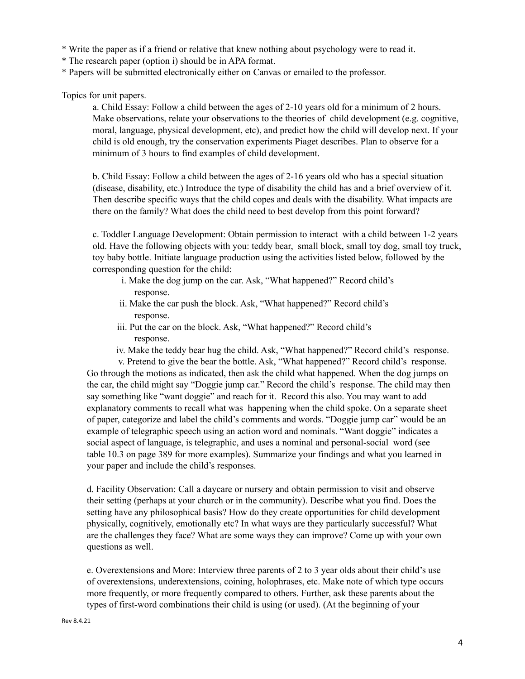- \* Write the paper as if a friend or relative that knew nothing about psychology were to read it.
- \* The research paper (option i) should be in APA format.
- \* Papers will be submitted electronically either on Canvas or emailed to the professor.

Topics for unit papers.

a. Child Essay: Follow a child between the ages of 2-10 years old for a minimum of 2 hours. Make observations, relate your observations to the theories of child development (e.g. cognitive, moral, language, physical development, etc), and predict how the child will develop next. If your child is old enough, try the conservation experiments Piaget describes. Plan to observe for a minimum of 3 hours to find examples of child development.

b. Child Essay: Follow a child between the ages of 2-16 years old who has a special situation (disease, disability, etc.) Introduce the type of disability the child has and a brief overview of it. Then describe specific ways that the child copes and deals with the disability. What impacts are there on the family? What does the child need to best develop from this point forward?

c. Toddler Language Development: Obtain permission to interact with a child between 1-2 years old. Have the following objects with you: teddy bear, small block, small toy dog, small toy truck, toy baby bottle. Initiate language production using the activities listed below, followed by the corresponding question for the child:

- i. Make the dog jump on the car. Ask, "What happened?" Record child's response.
- ii. Make the car push the block. Ask, "What happened?" Record child's response.
- iii. Put the car on the block. Ask, "What happened?" Record child's response.
- iv. Make the teddy bear hug the child. Ask, "What happened?" Record child's response.

v. Pretend to give the bear the bottle. Ask, "What happened?" Record child's response. Go through the motions as indicated, then ask the child what happened. When the dog jumps on the car, the child might say "Doggie jump car." Record the child's response. The child may then say something like "want doggie" and reach for it. Record this also. You may want to add explanatory comments to recall what was happening when the child spoke. On a separate sheet of paper, categorize and label the child's comments and words. "Doggie jump car" would be an example of telegraphic speech using an action word and nominals. "Want doggie" indicates a social aspect of language, is telegraphic, and uses a nominal and personal-social word (see table 10.3 on page 389 for more examples). Summarize your findings and what you learned in your paper and include the child's responses.

d. Facility Observation: Call a daycare or nursery and obtain permission to visit and observe their setting (perhaps at your church or in the community). Describe what you find. Does the setting have any philosophical basis? How do they create opportunities for child development physically, cognitively, emotionally etc? In what ways are they particularly successful? What are the challenges they face? What are some ways they can improve? Come up with your own questions as well.

e. Overextensions and More: Interview three parents of 2 to 3 year olds about their child's use of overextensions, underextensions, coining, holophrases, etc. Make note of which type occurs more frequently, or more frequently compared to others. Further, ask these parents about the types of first-word combinations their child is using (or used). (At the beginning of your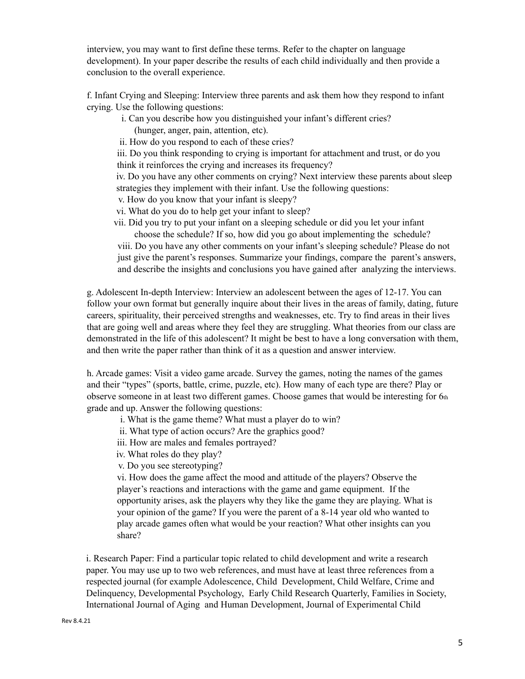interview, you may want to first define these terms. Refer to the chapter on language development). In your paper describe the results of each child individually and then provide a conclusion to the overall experience.

f. Infant Crying and Sleeping: Interview three parents and ask them how they respond to infant crying. Use the following questions:

- i. Can you describe how you distinguished your infant's different cries? (hunger, anger, pain, attention, etc).
- ii. How do you respond to each of these cries?

iii. Do you think responding to crying is important for attachment and trust, or do you think it reinforces the crying and increases its frequency?

iv. Do you have any other comments on crying? Next interview these parents about sleep strategies they implement with their infant. Use the following questions:

- v. How do you know that your infant is sleepy?
- vi. What do you do to help get your infant to sleep?
- vii. Did you try to put your infant on a sleeping schedule or did you let your infant choose the schedule? If so, how did you go about implementing the schedule?

viii. Do you have any other comments on your infant's sleeping schedule? Please do not just give the parent's responses. Summarize your findings, compare the parent's answers, and describe the insights and conclusions you have gained after analyzing the interviews.

g. Adolescent In-depth Interview: Interview an adolescent between the ages of 12-17. You can follow your own format but generally inquire about their lives in the areas of family, dating, future careers, spirituality, their perceived strengths and weaknesses, etc. Try to find areas in their lives that are going well and areas where they feel they are struggling. What theories from our class are demonstrated in the life of this adolescent? It might be best to have a long conversation with them, and then write the paper rather than think of it as a question and answer interview.

h. Arcade games: Visit a video game arcade. Survey the games, noting the names of the games and their "types" (sports, battle, crime, puzzle, etc). How many of each type are there? Play or observe someone in at least two different games. Choose games that would be interesting for 6th grade and up. Answer the following questions:

- i. What is the game theme? What must a player do to win?
- ii. What type of action occurs? Are the graphics good?
- iii. How are males and females portrayed?
- iv. What roles do they play?
- v. Do you see stereotyping?

vi. How does the game affect the mood and attitude of the players? Observe the player's reactions and interactions with the game and game equipment. If the opportunity arises, ask the players why they like the game they are playing. What is your opinion of the game? If you were the parent of a 8-14 year old who wanted to play arcade games often what would be your reaction? What other insights can you share?

i. Research Paper: Find a particular topic related to child development and write a research paper. You may use up to two web references, and must have at least three references from a respected journal (for example Adolescence, Child Development, Child Welfare, Crime and Delinquency, Developmental Psychology, Early Child Research Quarterly, Families in Society, International Journal of Aging and Human Development, Journal of Experimental Child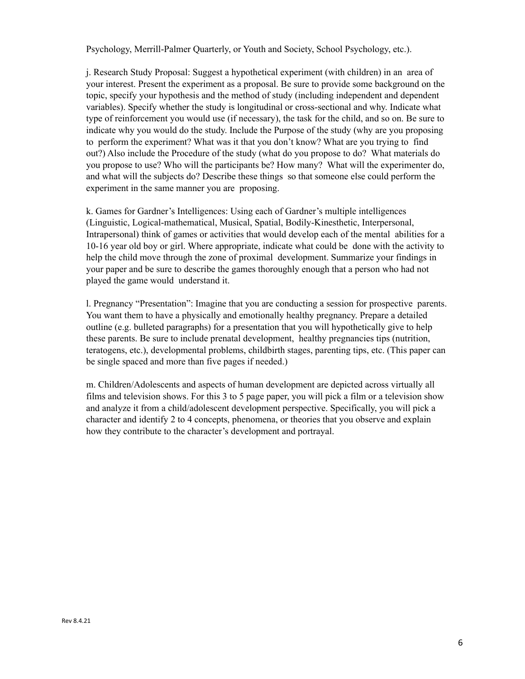Psychology, Merrill-Palmer Quarterly, or Youth and Society, School Psychology, etc.).

j. Research Study Proposal: Suggest a hypothetical experiment (with children) in an area of your interest. Present the experiment as a proposal. Be sure to provide some background on the topic, specify your hypothesis and the method of study (including independent and dependent variables). Specify whether the study is longitudinal or cross-sectional and why. Indicate what type of reinforcement you would use (if necessary), the task for the child, and so on. Be sure to indicate why you would do the study. Include the Purpose of the study (why are you proposing to perform the experiment? What was it that you don't know? What are you trying to find out?) Also include the Procedure of the study (what do you propose to do? What materials do you propose to use? Who will the participants be? How many? What will the experimenter do, and what will the subjects do? Describe these things so that someone else could perform the experiment in the same manner you are proposing.

k. Games for Gardner's Intelligences: Using each of Gardner's multiple intelligences (Linguistic, Logical-mathematical, Musical, Spatial, Bodily-Kinesthetic, Interpersonal, Intrapersonal) think of games or activities that would develop each of the mental abilities for a 10-16 year old boy or girl. Where appropriate, indicate what could be done with the activity to help the child move through the zone of proximal development. Summarize your findings in your paper and be sure to describe the games thoroughly enough that a person who had not played the game would understand it.

l. Pregnancy "Presentation": Imagine that you are conducting a session for prospective parents. You want them to have a physically and emotionally healthy pregnancy. Prepare a detailed outline (e.g. bulleted paragraphs) for a presentation that you will hypothetically give to help these parents. Be sure to include prenatal development, healthy pregnancies tips (nutrition, teratogens, etc.), developmental problems, childbirth stages, parenting tips, etc. (This paper can be single spaced and more than five pages if needed.)

m. Children/Adolescents and aspects of human development are depicted across virtually all films and television shows. For this 3 to 5 page paper, you will pick a film or a television show and analyze it from a child/adolescent development perspective. Specifically, you will pick a character and identify 2 to 4 concepts, phenomena, or theories that you observe and explain how they contribute to the character's development and portrayal.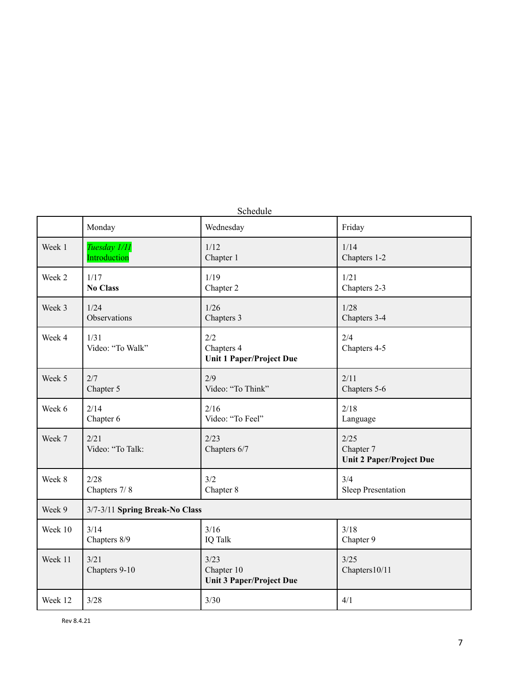| Schedule |                                |                                                       |                                                      |  |  |
|----------|--------------------------------|-------------------------------------------------------|------------------------------------------------------|--|--|
|          | Monday                         | Wednesday                                             | Friday                                               |  |  |
| Week 1   | Tuesday 1/11                   | 1/12                                                  | 1/14                                                 |  |  |
|          | Introduction                   | Chapter 1                                             | Chapters 1-2                                         |  |  |
| Week 2   | 1/17                           | 1/19                                                  | 1/21                                                 |  |  |
|          | <b>No Class</b>                | Chapter 2                                             | Chapters 2-3                                         |  |  |
| Week 3   | 1/24                           | 1/26                                                  | 1/28                                                 |  |  |
|          | Observations                   | Chapters 3                                            | Chapters 3-4                                         |  |  |
| Week 4   | 1/31<br>Video: "To Walk"       | 2/2<br>Chapters 4<br><b>Unit 1 Paper/Project Due</b>  | 2/4<br>Chapters 4-5                                  |  |  |
| Week 5   | 2/7                            | 2/9                                                   | 2/11                                                 |  |  |
|          | Chapter 5                      | Video: "To Think"                                     | Chapters 5-6                                         |  |  |
| Week 6   | 2/14                           | 2/16                                                  | 2/18                                                 |  |  |
|          | Chapter 6                      | Video: "To Feel"                                      | Language                                             |  |  |
| Week 7   | 2/21<br>Video: "To Talk:       | 2/23<br>Chapters 6/7                                  | 2/25<br>Chapter 7<br><b>Unit 2 Paper/Project Due</b> |  |  |
| Week 8   | 2/28                           | 3/2                                                   | 3/4                                                  |  |  |
|          | Chapters 7/8                   | Chapter 8                                             | Sleep Presentation                                   |  |  |
| Week 9   | 3/7-3/11 Spring Break-No Class |                                                       |                                                      |  |  |
| Week 10  | 3/14                           | 3/16                                                  | 3/18                                                 |  |  |
|          | Chapters 8/9                   | IQ Talk                                               | Chapter 9                                            |  |  |
| Week 11  | 3/21<br>Chapters 9-10          | 3/23<br>Chapter 10<br><b>Unit 3 Paper/Project Due</b> | 3/25<br>Chapters10/11                                |  |  |
| Week 12  | 3/28                           | 3/30                                                  | 4/1                                                  |  |  |